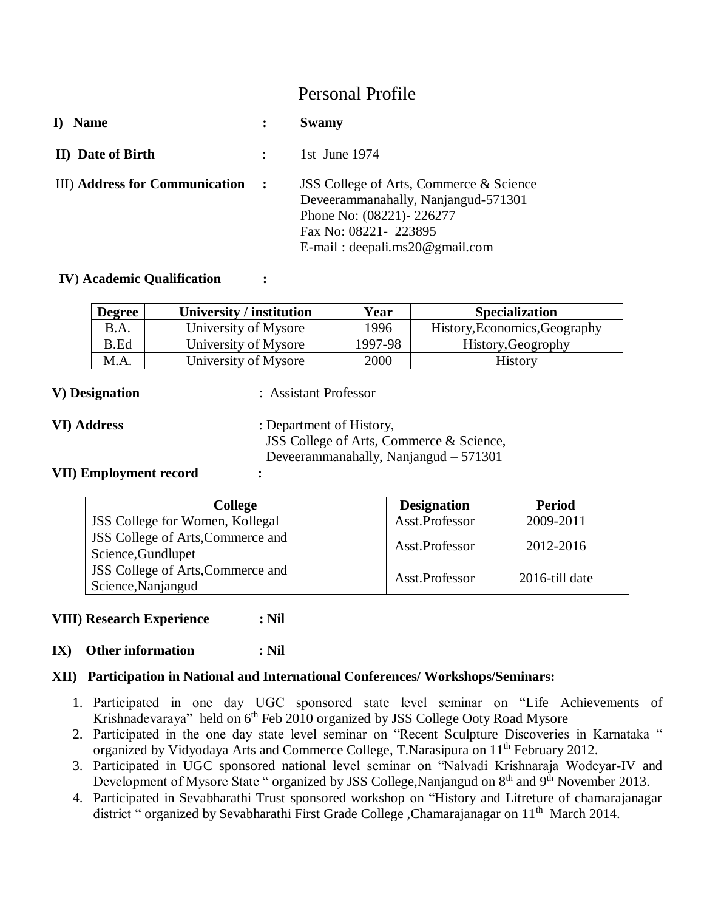# Personal Profile

| <b>Name</b>                           | Swamy                                                                                                                                                                   |
|---------------------------------------|-------------------------------------------------------------------------------------------------------------------------------------------------------------------------|
| <b>II)</b> Date of Birth              | 1st June $1974$                                                                                                                                                         |
| <b>III)</b> Address for Communication | JSS College of Arts, Commerce & Science<br>Deveerammanahally, Nanjangud-571301<br>Phone No: (08221)-226277<br>Fax No: 08221-223895<br>$E$ -mail: deepali.ms20@gmail.com |

### **IV**) **Academic Qualification :**

| <b>Degree</b> | University / institution | Year    | <b>Specialization</b>         |
|---------------|--------------------------|---------|-------------------------------|
| B.A.          | University of Mysore     | 1996    | History, Economics, Geography |
| <b>B.Ed</b>   | University of Mysore     | 1997-98 | History, Geogrophy            |
| M.A.          | University of Mysore     | 2000    | <b>History</b>                |

**V) Designation** : Assistant Professor

**VI) Address** : Department of History, JSS College of Arts, Commerce & Science, Deveerammanahally, Nanjangud – 571301

### **VII) Employment record :**

| <b>College</b>                                                 | <b>Designation</b> | <b>Period</b>  |
|----------------------------------------------------------------|--------------------|----------------|
| <b>JSS</b> College for Women, Kollegal                         | Asst.Professor     | 2009-2011      |
| <b>JSS</b> College of Arts, Commerce and<br>Science, Gundlupet | Asst.Professor     | 2012-2016      |
| <b>JSS</b> College of Arts, Commerce and<br>Science, Nanjangud | Asst.Professor     | 2016-till date |

### **VIII) Research Experience : Nil**

### **IX) Other information : Nil**

### **XII) Participation in National and International Conferences/ Workshops/Seminars:**

- 1. Participated in one day UGC sponsored state level seminar on "Life Achievements of Krishnadevaraya" held on 6<sup>th</sup> Feb 2010 organized by JSS College Ooty Road Mysore
- 2. Participated in the one day state level seminar on "Recent Sculpture Discoveries in Karnataka " organized by Vidyodaya Arts and Commerce College, T.Narasipura on 11<sup>th</sup> February 2012.
- 3. Participated in UGC sponsored national level seminar on "Nalvadi Krishnaraja Wodeyar-IV and Development of Mysore State " organized by JSS College, Nanjangud on 8<sup>th</sup> and 9<sup>th</sup> November 2013.
- 4. Participated in Sevabharathi Trust sponsored workshop on "History and Litreture of chamarajanagar district " organized by Sevabharathi First Grade College , Chamarajanagar on 11<sup>th</sup> March 2014.